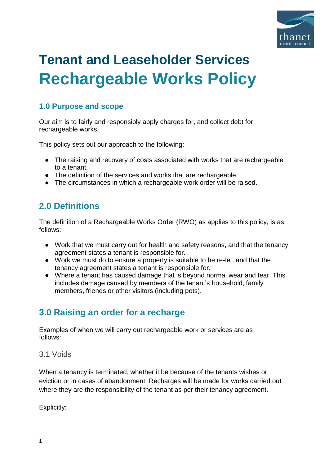

# **Tenant and Leaseholder Services Rechargeable Works Policy**

### **1.0 Purpose and scope**

Our aim is to fairly and responsibly apply charges for, and collect debt for rechargeable works.

This policy sets out our approach to the following:

- The raising and recovery of costs associated with works that are rechargeable to a tenant.
- The definition of the services and works that are rechargeable.
- The circumstances in which a rechargeable work order will be raised.

# **2.0 Definitions**

The definition of a Rechargeable Works Order (RWO) as applies to this policy, is as follows:

- Work that we must carry out for health and safety reasons, and that the tenancy agreement states a tenant is responsible for.
- Work we must do to ensure a property is suitable to be re-let, and that the tenancy agreement states a tenant is responsible for.
- Where a tenant has caused damage that is beyond normal wear and tear. This includes damage caused by members of the tenant's household, family members, friends or other visitors (including pets).

## **3.0 Raising an order for a recharge**

Examples of when we will carry out rechargeable work or services are as follows:

3.1 Voids

When a tenancy is terminated, whether it be because of the tenants wishes or eviction or in cases of abandonment. Recharges will be made for works carried out where they are the responsibility of the tenant as per their tenancy agreement.

Explicitly: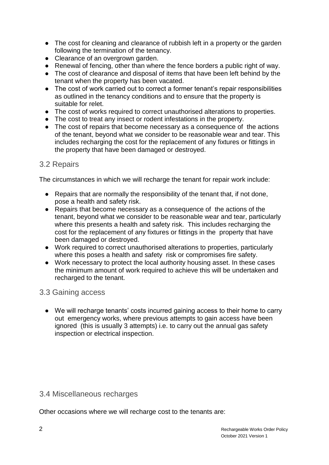- The cost for cleaning and clearance of rubbish left in a property or the garden following the termination of the tenancy.
- Clearance of an overgrown garden.
- Renewal of fencing, other than where the fence borders a public right of way.
- The cost of clearance and disposal of items that have been left behind by the tenant when the property has been vacated.
- The cost of work carried out to correct a former tenant's repair responsibilities as outlined in the tenancy conditions and to ensure that the property is suitable for relet.
- The cost of works required to correct unauthorised alterations to properties.
- The cost to treat any insect or rodent infestations in the property.
- The cost of repairs that become necessary as a consequence of the actions of the tenant, beyond what we consider to be reasonable wear and tear. This includes recharging the cost for the replacement of any fixtures or fittings in the property that have been damaged or destroyed.

#### 3.2 Repairs

The circumstances in which we will recharge the tenant for repair work include:

- Repairs that are normally the responsibility of the tenant that, if not done, pose a health and safety risk.
- Repairs that become necessary as a consequence of the actions of the tenant, beyond what we consider to be reasonable wear and tear, particularly where this presents a health and safety risk. This includes recharging the cost for the replacement of any fixtures or fittings in the property that have been damaged or destroyed.
- Work required to correct unauthorised alterations to properties, particularly where this poses a health and safety risk or compromises fire safety.
- Work necessary to protect the local authority housing asset. In these cases the minimum amount of work required to achieve this will be undertaken and recharged to the tenant.

#### 3.3 Gaining access

● We will recharge tenants' costs incurred gaining access to their home to carry out emergency works, where previous attempts to gain access have been ignored (this is usually 3 attempts) i.e. to carry out the annual gas safety inspection or electrical inspection.

#### 3.4 Miscellaneous recharges

Other occasions where we will recharge cost to the tenants are: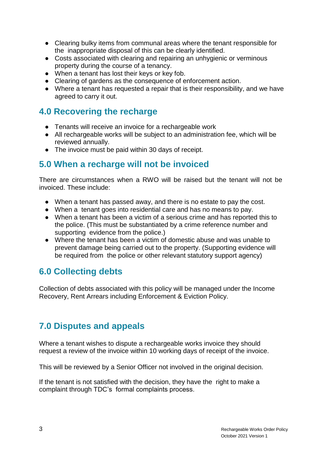- Clearing bulky items from communal areas where the tenant responsible for the inappropriate disposal of this can be clearly identified.
- Costs associated with clearing and repairing an unhygienic or verminous property during the course of a tenancy.
- When a tenant has lost their keys or key fob.
- Clearing of gardens as the consequence of enforcement action.
- Where a tenant has requested a repair that is their responsibility, and we have agreed to carry it out.

## **4.0 Recovering the recharge**

- Tenants will receive an invoice for a rechargeable work
- All rechargeable works will be subject to an administration fee, which will be reviewed annually.
- The invoice must be paid within 30 days of receipt.

## **5.0 When a recharge will not be invoiced**

There are circumstances when a RWO will be raised but the tenant will not be invoiced. These include:

- When a tenant has passed away, and there is no estate to pay the cost.
- When a tenant goes into residential care and has no means to pay.
- When a tenant has been a victim of a serious crime and has reported this to the police. (This must be substantiated by a crime reference number and supporting evidence from the police.)
- Where the tenant has been a victim of domestic abuse and was unable to prevent damage being carried out to the property. (Supporting evidence will be required from the police or other relevant statutory support agency)

# **6.0 Collecting debts**

Collection of debts associated with this policy will be managed under the Income Recovery, Rent Arrears including Enforcement & Eviction Policy.

# **7.0 Disputes and appeals**

Where a tenant wishes to dispute a rechargeable works invoice they should request a review of the invoice within 10 working days of receipt of the invoice.

This will be reviewed by a Senior Officer not involved in the original decision.

If the tenant is not satisfied with the decision, they have the right to make a complaint through TDC's formal complaints process.